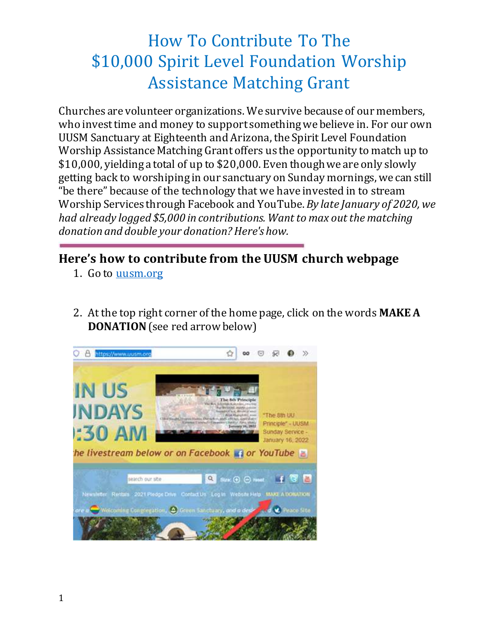## How To Contribute To The \$10,000 Spirit Level Foundation Worship Assistance Matching Grant

Churches are volunteer organizations. We survive because of our members, who invest time and money to support something we believe in. For our own UUSM Sanctuary at Eighteenth and Arizona, the Spirit Level Foundation Worship Assistance Matching Grant offers us the opportunity to match up to \$10,000, yielding a total of up to \$20,000. Even though we are only slowly getting back to worshiping in our sanctuary on Sunday mornings, we can still "be there" because of the technology that we have invested in to stream Worship Services through Facebook and YouTube. *By late January of 2020, we had already logged \$5,000 in contributions. Want to max out the matching donation and double your donation? Here's how.*

## **Here's how to contribute from the UUSM church webpage**

- 1. Go to [uusm.org](https://www.uusm.org/)
- 2. At the top right corner of the home page, click on the words **MAKE A DONATION**(see red arrow below)

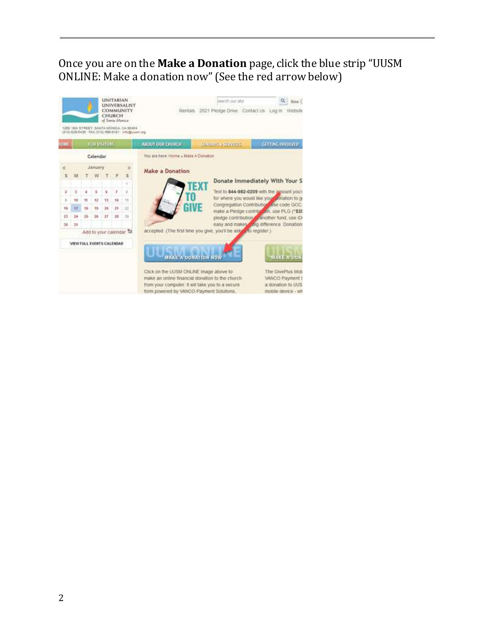## Once you are on the **Make a Donation** page, click the blue strip "UUSM ONLINE: Make a donation now"(See the red arrow below)

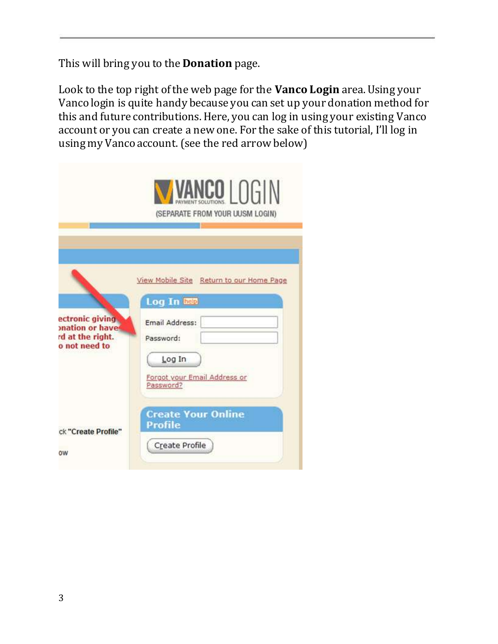This will bring you to the **Donation** page.

Look to the top right of the web page for the **Vanco Login** area. Using your Vanco login is quite handy because you can set up your donation method for this and future contributions. Here, you can log in using your existing Vanco account or you can create a new one. For the sake of this tutorial, I'll log in using my Vanco account. (see the red arrow below)

|                                                                         | VANCO LOGIN<br>(SEPARATE FROM YOUR UUSM LOGIN)                                                                                                |
|-------------------------------------------------------------------------|-----------------------------------------------------------------------------------------------------------------------------------------------|
| ectronic giving<br>onation or have<br>rd at the right.<br>o not need to | View Mobile Site Return to our Home Page<br>Log In heip<br>Email Address:<br>Password:<br>Log In<br>Forgot your Email Address or<br>Password? |
| ck "Create Profile"<br>ow                                               | <b>Create Your Online</b><br><b>Profile</b><br>Create Profile                                                                                 |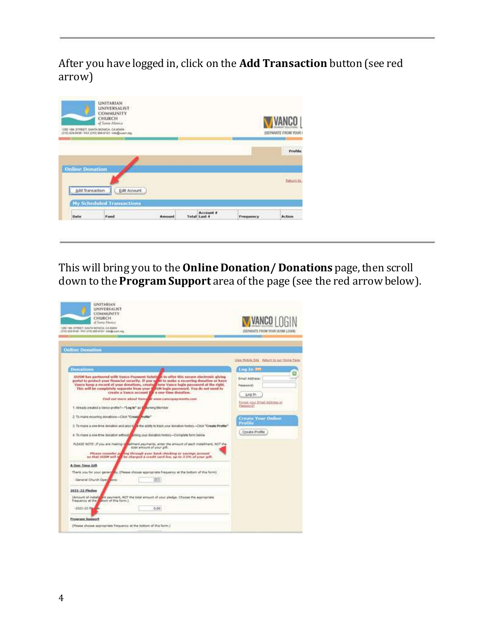After you have logged in, click on the **Add Transaction** button (see red arrow)



This will bring you to the **Online Donation/ Donations** page, then scroll down to the **Program Support** area of the page (see the red arrow below).

| <b>UNITARIAN</b><br><b>UNIVERSALIST</b><br><b>COMMUNITY</b><br>CHURCH<br>of Sevia Massive<br>1200 VOIL STREET, SAMTA MONICA, CA 35454<br>(1115) 822-5436 - TAX (210) 865-8127 - Infrastructures |                                                                                                                                                                                                                                                                                                                                                                                                                                                                                                                                                                                                                                                                                                                                                                                                                                                                                                                                                                                               | <b>WANCO   NGI</b><br>ISERMINITE FROM YOUR UUGM LOGINI                                                                                                           |
|-------------------------------------------------------------------------------------------------------------------------------------------------------------------------------------------------|-----------------------------------------------------------------------------------------------------------------------------------------------------------------------------------------------------------------------------------------------------------------------------------------------------------------------------------------------------------------------------------------------------------------------------------------------------------------------------------------------------------------------------------------------------------------------------------------------------------------------------------------------------------------------------------------------------------------------------------------------------------------------------------------------------------------------------------------------------------------------------------------------------------------------------------------------------------------------------------------------|------------------------------------------------------------------------------------------------------------------------------------------------------------------|
| <b>Online Donation</b>                                                                                                                                                                          |                                                                                                                                                                                                                                                                                                                                                                                                                                                                                                                                                                                                                                                                                                                                                                                                                                                                                                                                                                                               | View Robin 38s Eaturn ht pur Heine Face                                                                                                                          |
| <b>Bonations</b><br>1. Already created a Vance profile?-"Log in" as in aumong Mentoer<br>2. To make recurring donations-Click "Creaty" Profile"                                                 | UUSM has partnered with Vance Payment Solutions to offer this secure electronic giving<br>portal to protect your financial security. If you will be make a recurring dosation or have<br>Vance keep a record of your donations, created mew Vance legin password at the right.<br>This will be completely separate from your in ISM login password. You do not went to<br>create a Vanco account to a con-time donation.<br>Find dail more about Vance of www.vancepayments.com<br>3. To muse a see-time donation and also fully the ability to track your donation fustory-Chick "Create Photler".<br>4. To make a see-time itomation without a choop your domation finitiary-Complete form betow.<br>REASE NOTE: If you are making in callmant payments, arise the amount of each installment, NOT the<br>total amount of your pift.<br>Please consider programmable year hank checking or sayings account<br>so that UOSN will real be charged a credit card fee, up to 3.5% of year gift. | too in m<br>Ernal Address:<br>Password:<br>Log In<br>Forest vour Email Address or<br>Fashiotra?<br><b>Create Your Doline</b><br>Profile<br><b>Cheate Profile</b> |
| A Oue-Time Gift<br>-General Church Open<br><b>MODEL</b><br>2021-22 Pindoc<br>+2025+22 PM<br><b>Program Support</b><br>(Please choose appropriate frequency at the bottom of this form.)         | Therix you for your generally, (Please choses apartistic frequency at the bettom of this form)<br>(Account of installs) are payment, NOT the total amount of your pledge. Choose the appropriate<br>frequency at the month of this form.)<br>0.00.                                                                                                                                                                                                                                                                                                                                                                                                                                                                                                                                                                                                                                                                                                                                            |                                                                                                                                                                  |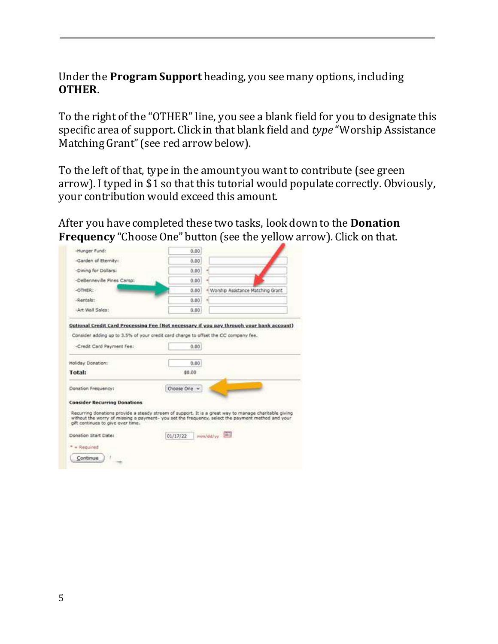## Under the **Program Support** heading, you see many options, including **OTHER**.

To the right of the "OTHER" line, you see a blank field for you to designate this specific area of support. Click in that blank field and *type* "Worship Assistance Matching Grant" (see red arrow below).

To the left of that, type in the amount you want to contribute (see green arrow). I typed in \$1 so that this tutorial would populate correctly. Obviously, your contribution would exceed this amount.

After you have completed these two tasks, look down to the **Donation Frequency** "Choose One" button (see the yellow arrow). Click on that.

| -Hunger Fund:                       | 0.00           |                                                                                                                                                                                                            |
|-------------------------------------|----------------|------------------------------------------------------------------------------------------------------------------------------------------------------------------------------------------------------------|
| -Garden of Eternity:                | 0.00           |                                                                                                                                                                                                            |
| -Dining for Dollars:                | 0.00<br>$\sim$ |                                                                                                                                                                                                            |
| -DeBenneville Pines Camp:           | 0.00           |                                                                                                                                                                                                            |
| -OTHER:                             | 0.00           | · Worship Assistance Matching Grant                                                                                                                                                                        |
| -Rentals:                           | 0.00           |                                                                                                                                                                                                            |
| -Art Wall Sales:                    | 0.00           |                                                                                                                                                                                                            |
| -Credit Card Payment Fee:           | 0.00           |                                                                                                                                                                                                            |
|                                     |                |                                                                                                                                                                                                            |
| Holiday Donation:                   | 0.00           |                                                                                                                                                                                                            |
| Total:                              | 50.00          |                                                                                                                                                                                                            |
| Donation Frequency:                 | Choose One v   |                                                                                                                                                                                                            |
| <b>Consider Recurring Donations</b> |                |                                                                                                                                                                                                            |
| gift continues to give over time.   |                | Recurring donations provide a steady stream of support. It is a great way to manage charitable giving<br>without the worry of missing a payment- you set the frequency, select the payment method and your |
|                                     |                |                                                                                                                                                                                                            |
| Donation Start Date:                | 01/17/22       | mm/dd/yy                                                                                                                                                                                                   |
| - Required                          |                |                                                                                                                                                                                                            |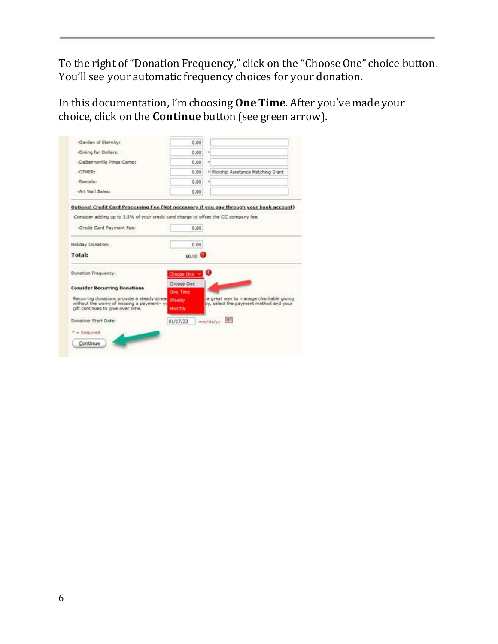To the right of "Donation Frequency," click on the "Choose One" choice button. You'll see your automatic frequency choices for your donation.

In this documentation, I'm choosing **One Time**. After you've made your choice, click on the **Continue** button (see green arrow).

| -Garden of Eternity:                                                                                                                   | 0.00                                                                                                        |
|----------------------------------------------------------------------------------------------------------------------------------------|-------------------------------------------------------------------------------------------------------------|
| -Dining for Dollars:                                                                                                                   | 0.00                                                                                                        |
| -DeBenneville Pines Camp:                                                                                                              | 0.00                                                                                                        |
| -OTHER:                                                                                                                                | 0.00<br>· Worship Assistance Matching Grant                                                                 |
| -Rentals:                                                                                                                              | 0.60                                                                                                        |
| -Art Wall Sales:                                                                                                                       | 0.00                                                                                                        |
| -Credit Card Payment Fee:                                                                                                              | Consider adding up to 3.5% of your credit card charge to offset the CC company fee.<br>0.00                 |
|                                                                                                                                        |                                                                                                             |
| Holiday Donation:                                                                                                                      | 0.00.                                                                                                       |
| <b>Total:</b>                                                                                                                          | \$0.00 <b>0</b>                                                                                             |
| Donation Frequency:                                                                                                                    | Ω<br>Choose One v                                                                                           |
| <b>Consider Recurring Donations</b><br>Recurring donations provide a steady streat Weekly<br>without the worry of missing a payment-yo | Choose One<br>One Time<br>a great way to manage charitable giving<br>cy, select the payment method and your |
| gift continues to give over time.                                                                                                      | Monthly                                                                                                     |
| Donation Start Date:                                                                                                                   | mm/dd/yy<br>01/17/22                                                                                        |
| $=$ Required                                                                                                                           |                                                                                                             |
|                                                                                                                                        |                                                                                                             |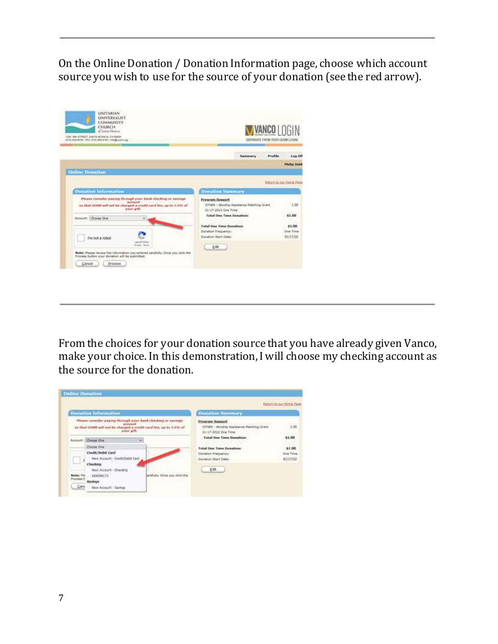On the Online Donation / Donation Information page, choose which account source you wish to use for the source of your donation (see the red arrow).

| <b>UNITARIAN</b><br><b>UNIVERSALIST</b><br>COMMUNITY<br>CHURCH<br>of Santa Manager<br>TORE 1944 STREET, EARLYA MONEA, CA 60404<br>(\$10); 030-5456 ( FAX (315) 003-8737 ( HS@mart-mg         |                                                                                                                        | <b>VANCO LOGIN</b><br>GEFANATE FROM YOUR LEIGHT LOGINE |  |
|----------------------------------------------------------------------------------------------------------------------------------------------------------------------------------------------|------------------------------------------------------------------------------------------------------------------------|--------------------------------------------------------|--|
|                                                                                                                                                                                              | <b>Profile</b><br>Summary                                                                                              | Log Off                                                |  |
|                                                                                                                                                                                              |                                                                                                                        | <b>Fluidian Nichols</b>                                |  |
| <b>Online Donation</b>                                                                                                                                                                       |                                                                                                                        |                                                        |  |
|                                                                                                                                                                                              |                                                                                                                        | <b>Saturn to our Home Face</b>                         |  |
| <b>Donation Information</b>                                                                                                                                                                  | <b>Donation</b> Summary                                                                                                |                                                        |  |
| Please consider paying through your bank checking or savings<br><i>increased</i><br>an that 00/08 will not be charged a credit card fee, up to 3.5% of<br>your gift.<br>Account: Choose Drie | Program Sopport<br>GTHER - Worship Assistance Matching Grant<br>01-17-2032 One Time<br><b>Total One Time Donation:</b> | 1.00<br>\$1.00                                         |  |
| I'm not a robot<br>INCAPTONS<br><b>Bingier Taing</b>                                                                                                                                         | <b>Total One Time Donation</b><br>Dishablon Prequency:<br>Donation Start Date:                                         | \$1.00<br><b>Cina Time</b><br>01/17/22                 |  |
| Rights: Please review the information you entered carefully. Once you click the<br>Process button your donation will be submitted.<br>Circol<br>Process.                                     | Edit                                                                                                                   |                                                        |  |

From the choices for your donation source that you have already given Vanco, make your choice. In this demonstration, I will choose my checking account as the source for the donation.

| 1.06<br>OTHER - Worship Assistance Matching Grant |
|---------------------------------------------------|
| 272.00                                            |
| \$1.00                                            |
| \$1.00                                            |
| <b>One Time</b>                                   |
| 01/17/22                                          |
|                                                   |
|                                                   |
|                                                   |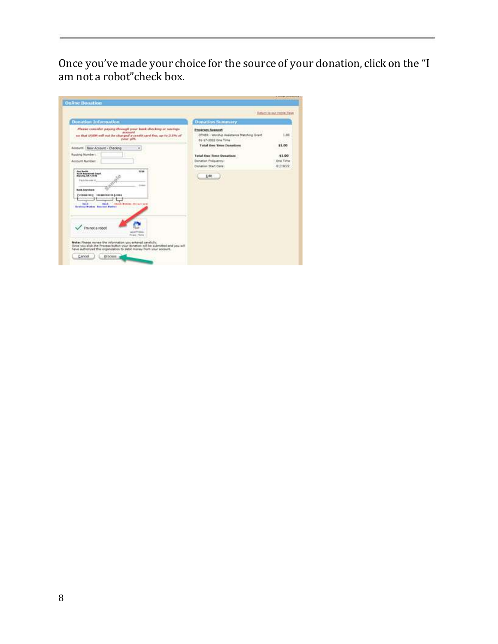Once you've made your choice for the source of your donation, click on the "I am not a robot"check box.

| <b>Donation Information</b>                                                                                                                                                                                                                                                                                                                                                                                                                                                                                  | <b>Donation Summary</b>                                                                                                                                                                                                                  |                                                  |
|--------------------------------------------------------------------------------------------------------------------------------------------------------------------------------------------------------------------------------------------------------------------------------------------------------------------------------------------------------------------------------------------------------------------------------------------------------------------------------------------------------------|------------------------------------------------------------------------------------------------------------------------------------------------------------------------------------------------------------------------------------------|--------------------------------------------------|
| Please consider paying through your bank checking or savings<br>accountd<br>so that invite will out he charged a credit card fee, up to 3.5% of<br>your pitt.<br><b>YANKIN BARBI KECAM</b><br>Account New Account - Checking<br>v<br><b>Routing Numbers</b><br>Account Numbers<br>1034<br><b>Joe Kuith</b><br>1324 Annaheel East<br>Pack houses it.<br><b>Back Anywhere</b><br>CHIMMINE KINNINGSD-CIM<br>Diam's Munices, disease went<br><b>Buick</b><br><b>Said</b><br><b>Brainsy Pusker Accrued Vances</b> | <b>Program Sapport</b><br>OTHER - Worship Assistance Matching Grant.<br>01-17-2032 Cine Time<br><b>Total One Time Donation:</b><br><b>Total One Time Dosation:</b><br>Clandium Freiguehövi<br><b>Clundoish Start Cate:</b><br><b>DSt</b> | 1.86<br>\$1.00<br>\$1.00<br>Dre Tire<br>01/19/22 |
| I'm not a robot<br><b>ACHPTISS</b><br>Roger-Teine                                                                                                                                                                                                                                                                                                                                                                                                                                                            |                                                                                                                                                                                                                                          |                                                  |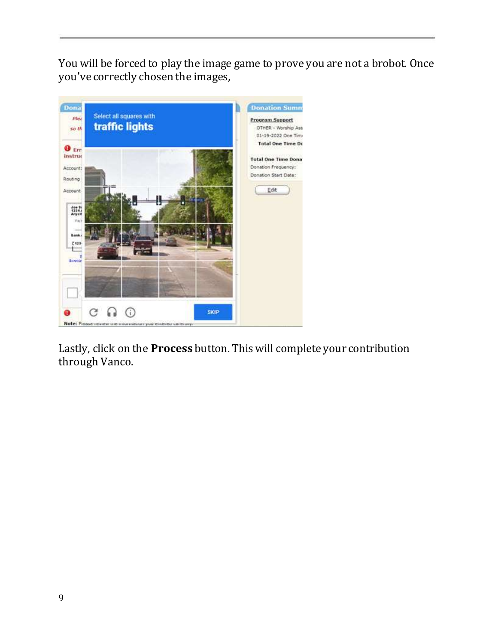You will be forced to play the image game to prove you are not a brobot. Once you've correctly chosen the images,



Lastly, click on the **Process** button. This will complete your contribution through Vanco.